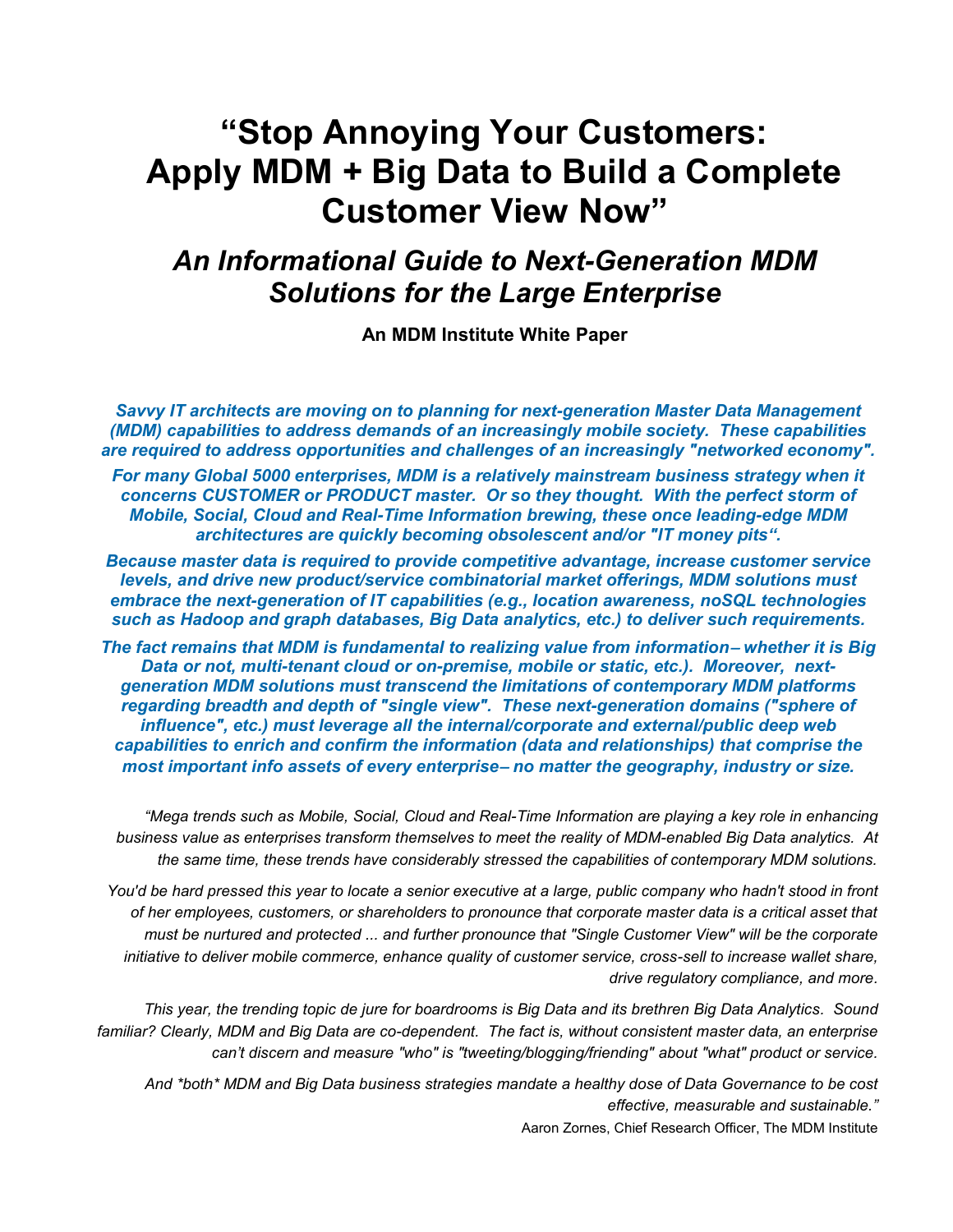# *An Informational Guide to Next-Generation MDM Solutions for the Large Enterprise*

**An MDM Institute White Paper**

*Savvy IT architects are moving on to planning for next-generation Master Data Management (MDM) capabilities to address demands of an increasingly mobile society. These capabilities are required to address opportunities and challenges of an increasingly "networked economy".* 

*For many Global 5000 enterprises, MDM is a relatively mainstream business strategy when it concerns CUSTOMER or PRODUCT master. Or so they thought. With the perfect storm of Mobile, Social, Cloud and Real-Time Information brewing, these once leading-edge MDM architectures are quickly becoming obsolescent and/or "IT money pits".*

*Because master data is required to provide competitive advantage, increase customer service levels, and drive new product/service combinatorial market offerings, MDM solutions must embrace the next-generation of IT capabilities (e.g., location awareness, noSQL technologies such as Hadoop and graph databases, Big Data analytics, etc.) to deliver such requirements.*

*The fact remains that MDM is fundamental to realizing value from information whether it is Big Data or not, multi-tenant cloud or on-premise, mobile or static, etc.). Moreover, nextgeneration MDM solutions must transcend the limitations of contemporary MDM platforms regarding breadth and depth of "single view". These next-generation domains ("sphere of influence", etc.) must leverage all the internal/corporate and external/public deep web capabilities to enrich and confirm the information (data and relationships) that comprise the most important info assets of every enterprise no matter the geography, industry or size.*

*"Mega trends such as Mobile, Social, Cloud and Real-Time Information are playing a key role in enhancing business value as enterprises transform themselves to meet the reality of MDM-enabled Big Data analytics. At the same time, these trends have considerably stressed the capabilities of contemporary MDM solutions.*

*You'd be hard pressed this year to locate a senior executive at a large, public company who hadn't stood in front of her employees, customers, or shareholders to pronounce that corporate master data is a critical asset that must be nurtured and protected ... and further pronounce that "Single Customer View" will be the corporate initiative to deliver mobile commerce, enhance quality of customer service, cross-sell to increase wallet share, drive regulatory compliance, and more.* 

*This year, the trending topic de jure for boardrooms is Big Data and its brethren Big Data Analytics. Sound familiar? Clearly, MDM and Big Data are co-dependent. The fact is, without consistent master data, an enterprise can't discern and measure "who" is "tweeting/blogging/friending" about "what" product or service.*

*And \*both\* MDM and Big Data business strategies mandate a healthy dose of Data Governance to be cost effective, measurable and sustainable."* 

Aaron Zornes, Chief Research Officer, The MDM Institute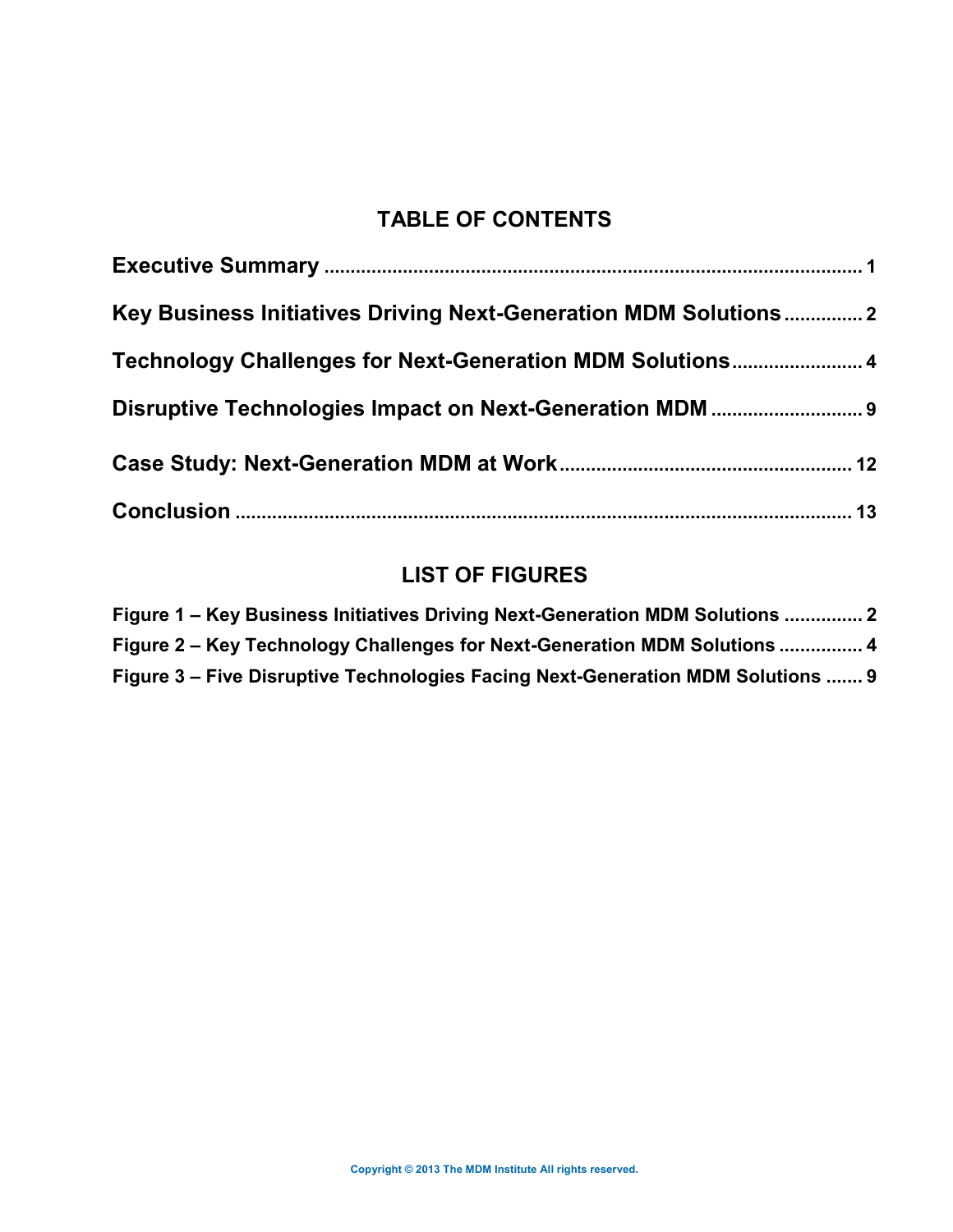# **TABLE OF CONTENTS**

| Key Business Initiatives Driving Next-Generation MDM Solutions2 |  |
|-----------------------------------------------------------------|--|
| Technology Challenges for Next-Generation MDM Solutions 4       |  |
|                                                                 |  |
|                                                                 |  |
|                                                                 |  |

# **LIST OF FIGURES**

<span id="page-1-0"></span>

| Figure 1 – Key Business Initiatives Driving Next-Generation MDM Solutions  2    |  |
|---------------------------------------------------------------------------------|--|
| Figure 2 – Key Technology Challenges for Next-Generation MDM Solutions  4       |  |
| Figure 3 – Five Disruptive Technologies Facing Next-Generation MDM Solutions  9 |  |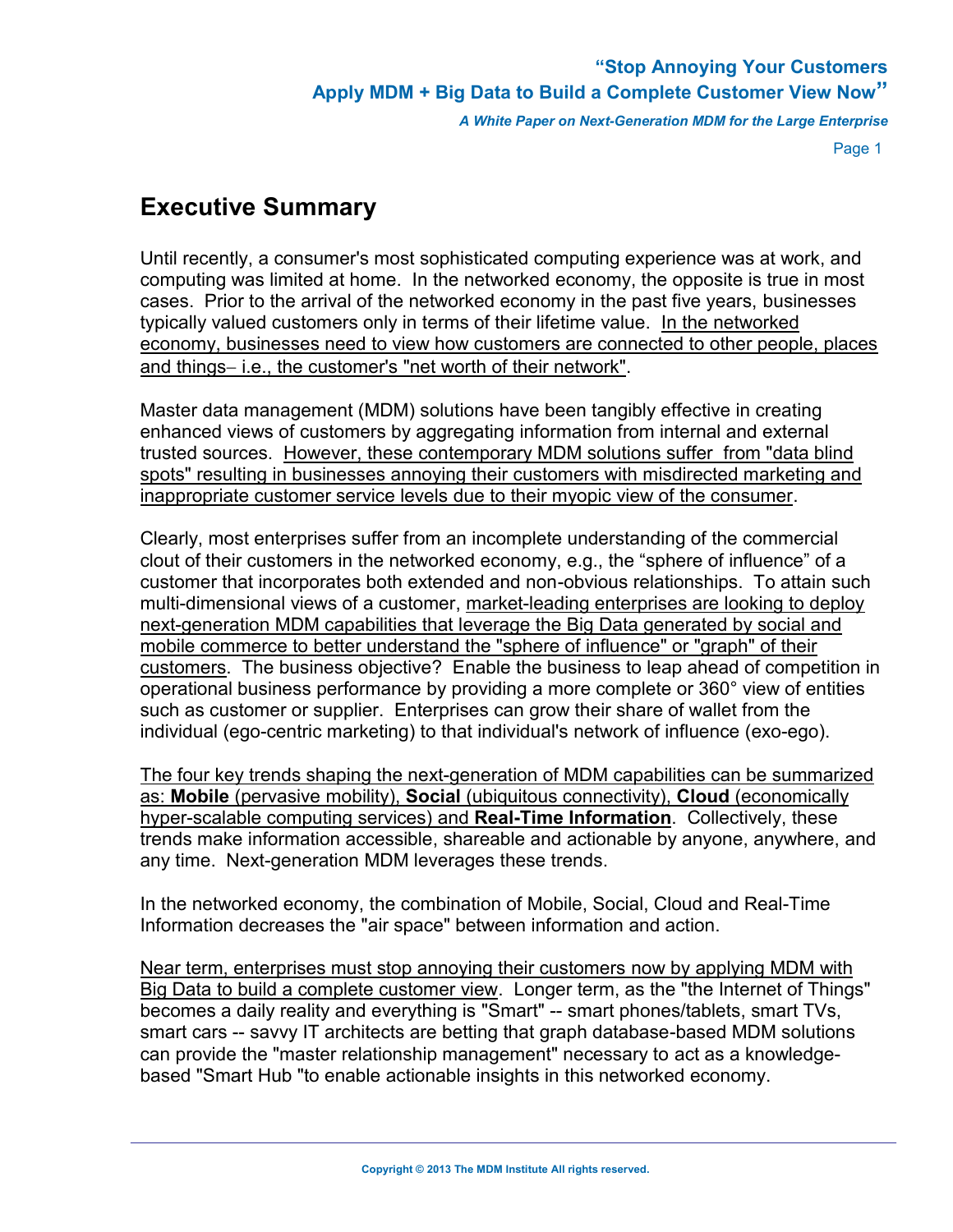*A White Paper on Next-Generation MDM for the Large Enterprise*

Page 1

# **Executive Summary**

Until recently, a consumer's most sophisticated computing experience was at work, and computing was limited at home. In the networked economy, the opposite is true in most cases. Prior to the arrival of the networked economy in the past five years, businesses typically valued customers only in terms of their lifetime value. In the networked economy, businesses need to view how customers are connected to other people, places and things-i.e., the customer's "net worth of their network".

Master data management (MDM) solutions have been tangibly effective in creating enhanced views of customers by aggregating information from internal and external trusted sources. However, these contemporary MDM solutions suffer from "data blind spots" resulting in businesses annoying their customers with misdirected marketing and inappropriate customer service levels due to their myopic view of the consumer.

Clearly, most enterprises suffer from an incomplete understanding of the commercial clout of their customers in the networked economy, e.g., the "sphere of influence" of a customer that incorporates both extended and non-obvious relationships. To attain such multi-dimensional views of a customer, market-leading enterprises are looking to deploy next-generation MDM capabilities that leverage the Big Data generated by social and mobile commerce to better understand the "sphere of influence" or "graph" of their customers. The business objective? Enable the business to leap ahead of competition in operational business performance by providing a more complete or 360° view of entities such as customer or supplier. Enterprises can grow their share of wallet from the individual (ego-centric marketing) to that individual's network of influence (exo-ego).

The four key trends shaping the next-generation of MDM capabilities can be summarized as: **Mobile** (pervasive mobility), **Social** (ubiquitous connectivity), **Cloud** (economically hyper-scalable computing services) and **Real-Time Information**. Collectively, these trends make information accessible, shareable and actionable by anyone, anywhere, and any time. Next-generation MDM leverages these trends.

In the networked economy, the combination of Mobile, Social, Cloud and Real-Time Information decreases the "air space" between information and action.

Near term, enterprises must stop annoying their customers now by applying MDM with Big Data to build a complete customer view. Longer term, as the "the Internet of Things" becomes a daily reality and everything is "Smart" -- smart phones/tablets, smart TVs, smart cars -- savvy IT architects are betting that graph database-based MDM solutions can provide the "master relationship management" necessary to act as a knowledgebased "Smart Hub "to enable actionable insights in this networked economy.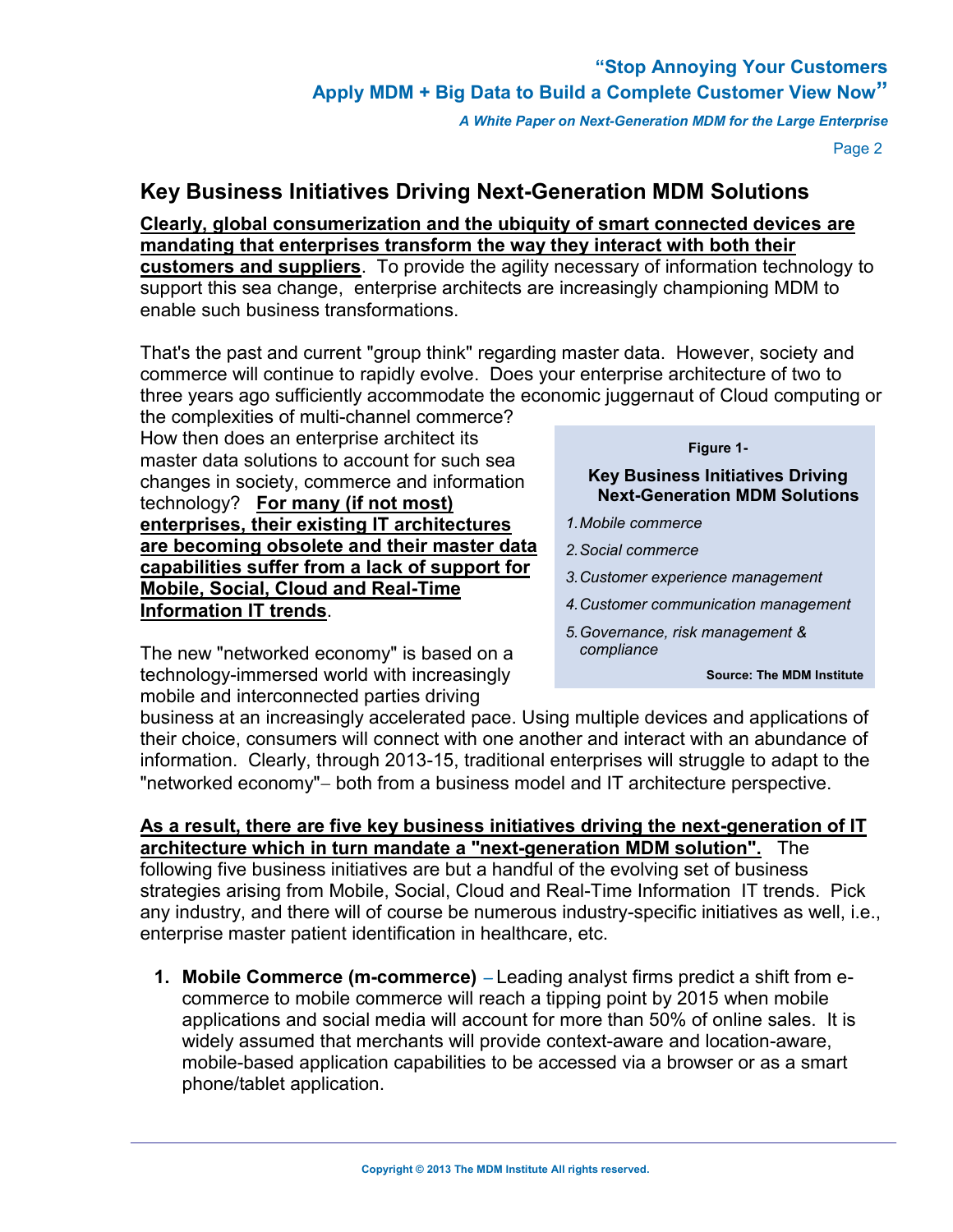*A White Paper on Next-Generation MDM for the Large Enterprise*

Page 2

### **Key Business Initiatives Driving Next-Generation MDM Solutions**

**Clearly, global consumerization and the ubiquity of smart connected devices are mandating that enterprises transform the way they interact with both their customers and suppliers**. To provide the agility necessary of information technology to support this sea change, enterprise architects are increasingly championing MDM to enable such business transformations.

That's the past and current "group think" regarding master data. However, society and commerce will continue to rapidly evolve. Does your enterprise architecture of two to three years ago sufficiently accommodate the economic juggernaut of Cloud computing or

the complexities of multi-channel commerce? How then does an enterprise architect its master data solutions to account for such sea changes in society, commerce and information technology? **For many (if not most) enterprises, their existing IT architectures are becoming obsolete and their master data capabilities suffer from a lack of support for Mobile, Social, Cloud and Real-Time Information IT trends**.

#### **Figure 1-**

**Key Business Initiatives Driving Next-Generation MDM Solutions**

- *1.Mobile commerce*
- *2.Social commerce*
- *3.Customer experience management*
- *4.Customer communication management*
- *5.Governance, risk management & compliance*

**Source: The MDM Institute**

The new "networked economy" is based on a technology-immersed world with increasingly mobile and interconnected parties driving

business at an increasingly accelerated pace. Using multiple devices and applications of their choice, consumers will connect with one another and interact with an abundance of information. Clearly, through 2013-15, traditional enterprises will struggle to adapt to the "networked economy" – both from a business model and IT architecture perspective.

**As a result, there are five key business initiatives driving the next-generation of IT architecture which in turn mandate a "next-generation MDM solution".** The following five business initiatives are but a handful of the evolving set of business strategies arising from Mobile, Social, Cloud and Real-Time Information IT trends. Pick any industry, and there will of course be numerous industry-specific initiatives as well, i.e., enterprise master patient identification in healthcare, etc.

**1. Mobile Commerce (m-commerce)** – Leading analyst firms predict a shift from ecommerce to mobile commerce will reach a tipping point by 2015 when mobile applications and social media will account for more than 50% of online sales. It is widely assumed that merchants will provide context-aware and location-aware, mobile-based application capabilities to be accessed via a browser or as a smart phone/tablet application.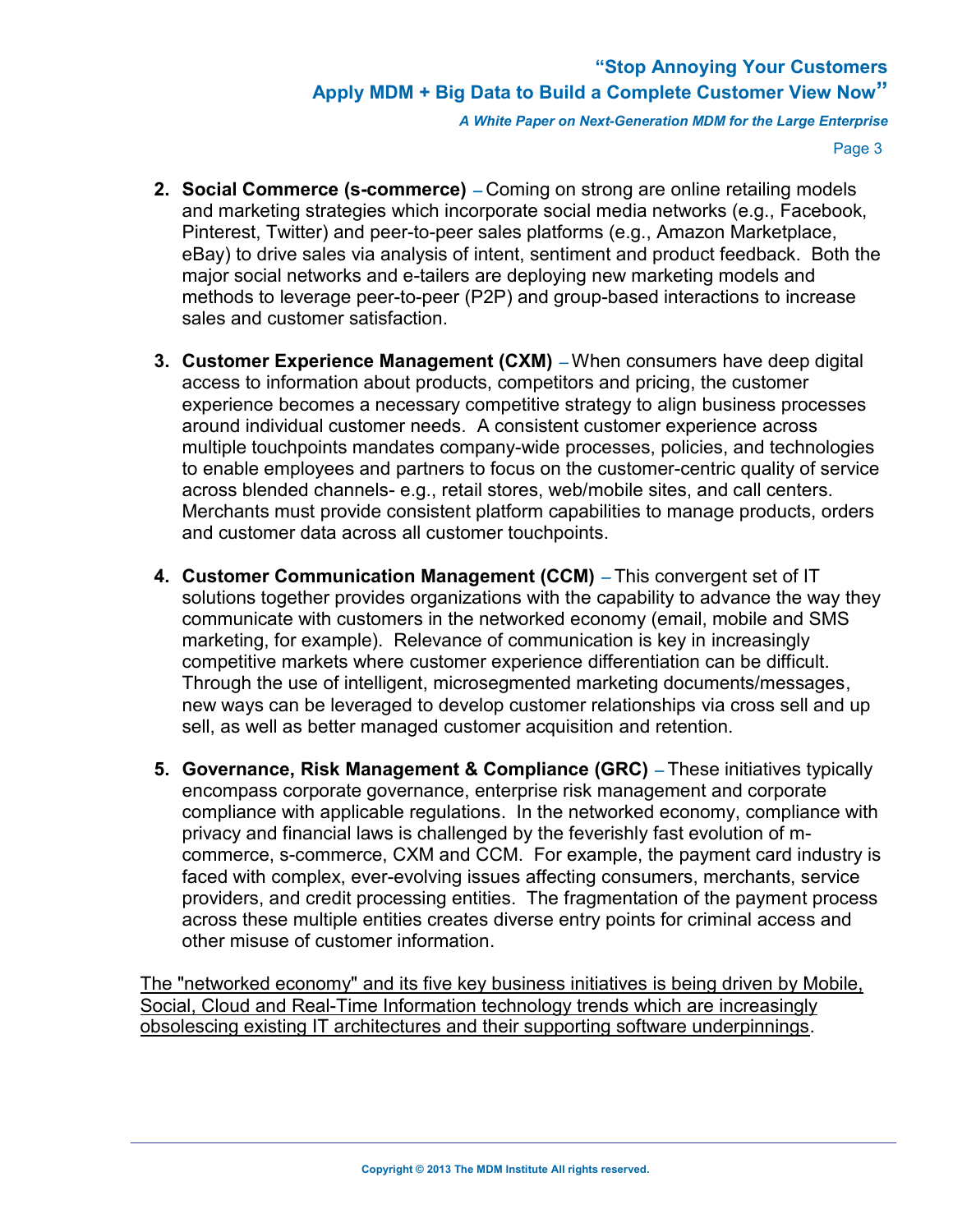*A White Paper on Next-Generation MDM for the Large Enterprise*

Page 3

- **2. Social Commerce (s-commerce)** Coming on strong are online retailing models and marketing strategies which incorporate social media networks (e.g., Facebook, Pinterest, Twitter) and peer-to-peer sales platforms (e.g., Amazon Marketplace, eBay) to drive sales via analysis of intent, sentiment and product feedback. Both the major social networks and e-tailers are deploying new marketing models and methods to leverage peer-to-peer (P2P) and group-based interactions to increase sales and customer satisfaction.
- **3. Customer Experience Management (CXM)** When consumers have deep digital access to information about products, competitors and pricing, the customer experience becomes a necessary competitive strategy to align business processes around individual customer needs. A consistent customer experience across multiple touchpoints mandates company-wide processes, policies, and technologies to enable employees and partners to focus on the customer-centric quality of service across blended channels- e.g., retail stores, web/mobile sites, and call centers. Merchants must provide consistent platform capabilities to manage products, orders and customer data across all customer touchpoints.
- **4. Customer Communication Management (CCM)**  This convergent set of IT solutions together provides organizations with the capability to advance the way they communicate with customers in the networked economy (email, mobile and SMS marketing, for example). Relevance of communication is key in increasingly competitive markets where customer experience differentiation can be difficult. Through the use of intelligent, microsegmented marketing documents/messages, new ways can be leveraged to develop customer relationships via cross sell and up sell, as well as better managed customer acquisition and retention.
- **5. Governance, Risk Management & Compliance (GRC)**  These initiatives typically encompass corporate governance, enterprise risk management and corporate compliance with applicable regulations. In the networked economy, compliance with privacy and financial laws is challenged by the feverishly fast evolution of mcommerce, s-commerce, CXM and CCM. For example, the payment card industry is faced with complex, ever-evolving issues affecting consumers, merchants, service providers, and credit processing entities. The fragmentation of the payment process across these multiple entities creates diverse entry points for criminal access and other misuse of customer information.

<span id="page-4-0"></span>The "networked economy" and its five key business initiatives is being driven by Mobile, Social, Cloud and Real-Time Information technology trends which are increasingly obsolescing existing IT architectures and their supporting software underpinnings.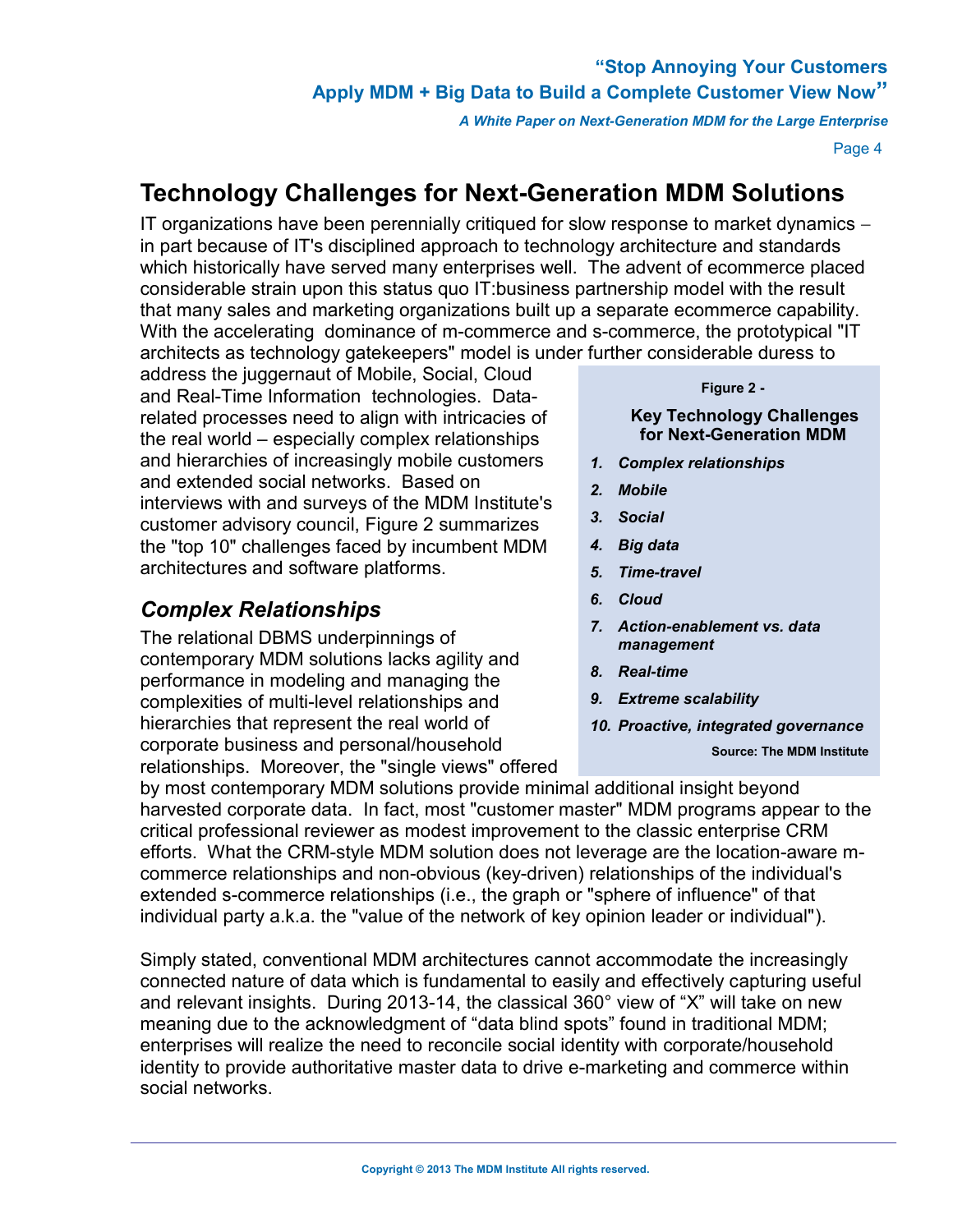*A White Paper on Next-Generation MDM for the Large Enterprise*

Page 4

# **Technology Challenges for Next-Generation MDM Solutions**

IT organizations have been perennially critiqued for slow response to market dynamics  $$ in part because of IT's disciplined approach to technology architecture and standards which historically have served many enterprises well. The advent of ecommerce placed considerable strain upon this status quo IT:business partnership model with the result that many sales and marketing organizations built up a separate ecommerce capability. With the accelerating dominance of m-commerce and s-commerce, the prototypical "IT architects as technology gatekeepers" model is under further considerable duress to

address the juggernaut of Mobile, Social, Cloud and Real-Time Information technologies. Datarelated processes need to align with intricacies of the real world – especially complex relationships and hierarchies of increasingly mobile customers and extended social networks. Based on interviews with and surveys of the MDM Institute's customer advisory council, Figure 2 summarizes the "top 10" challenges faced by incumbent MDM architectures and software platforms.

# *Complex Relationships*

The relational DBMS underpinnings of contemporary MDM solutions lacks agility and performance in modeling and managing the complexities of multi-level relationships and hierarchies that represent the real world of corporate business and personal/household relationships. Moreover, the "single views" offered

#### **Figure 2 -**

#### **Key Technology Challenges for Next-Generation MDM**

- *1. Complex relationships*
- *2. Mobile*
- *3. Social*
- *4. Big data*
- *5. Time-travel*
- *6. Cloud*
- *7. Action-enablement vs. data management*
- *8. Real-time*
- *9. Extreme scalability*
- *10. Proactive, integrated governance*

**Source: The MDM Institute**

**Source: The MDM Institute**

by most contemporary MDM solutions provide minimal additional insight beyond harvested corporate data. In fact, most "customer master" MDM programs appear to the critical professional reviewer as modest improvement to the classic enterprise CRM efforts. What the CRM-style MDM solution does not leverage are the location-aware mcommerce relationships and non-obvious (key-driven) relationships of the individual's extended s-commerce relationships (i.e., the graph or "sphere of influence" of that individual party a.k.a. the "value of the network of key opinion leader or individual").

Simply stated, conventional MDM architectures cannot accommodate the increasingly connected nature of data which is fundamental to easily and effectively capturing useful and relevant insights. During 2013-14, the classical 360° view of "X" will take on new and relevant insights. Baring 2010 14, the elassical 500 view of X will take off hew<br>meaning due to the acknowledgment of "data blind spots" found in traditional MDM; enterprises will realize the need to reconcile social identity with corporate/household identity to provide authoritative master data to drive e-marketing and commerce within social networks.  $\frac{1}{2}$ round in traditional MI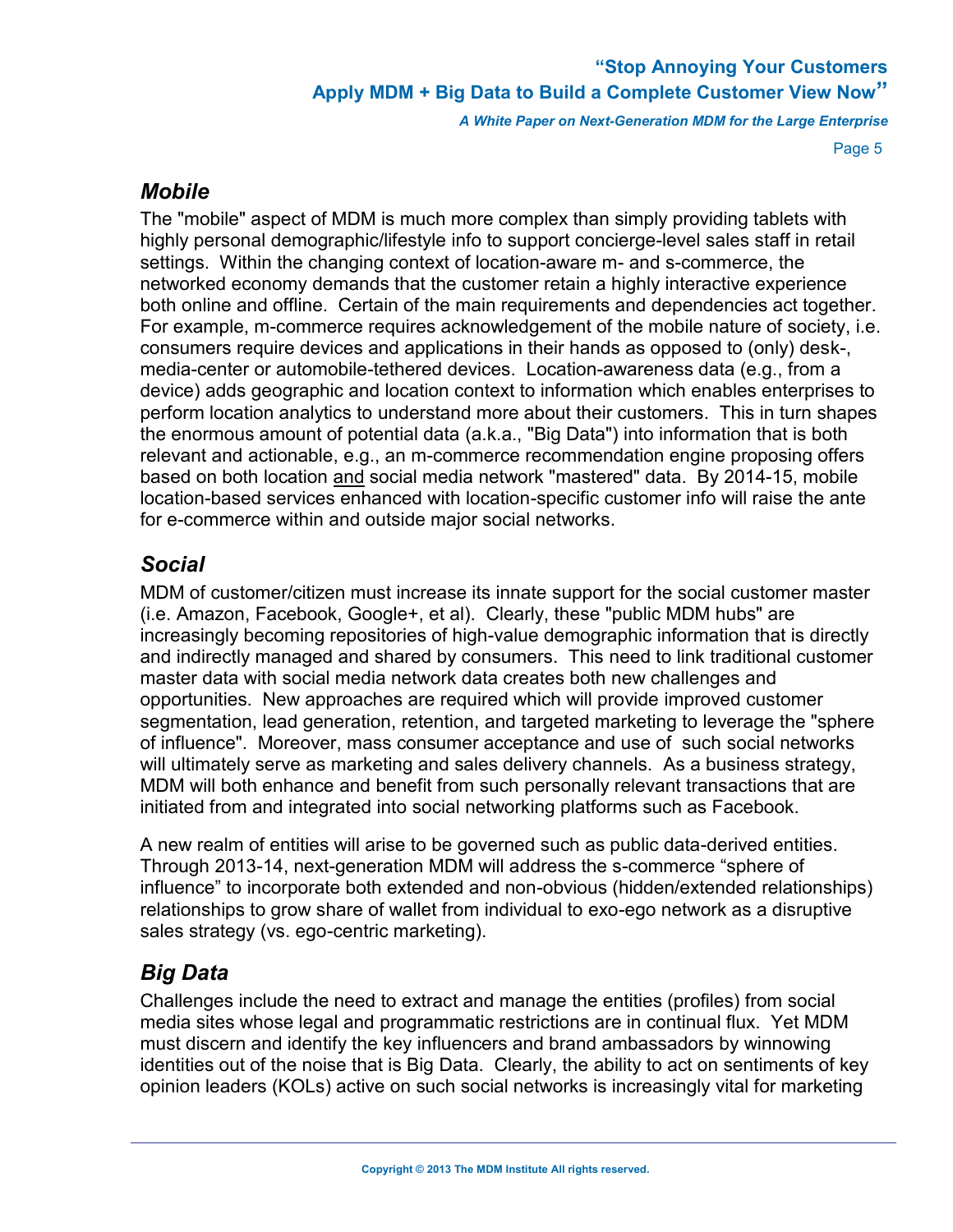*A White Paper on Next-Generation MDM for the Large Enterprise*

Page 5

### *Mobile*

The "mobile" aspect of MDM is much more complex than simply providing tablets with highly personal demographic/lifestyle info to support concierge-level sales staff in retail settings. Within the changing context of location-aware m- and s-commerce, the networked economy demands that the customer retain a highly interactive experience both online and offline. Certain of the main requirements and dependencies act together. For example, m-commerce requires acknowledgement of the mobile nature of society, i.e. consumers require devices and applications in their hands as opposed to (only) desk-, media-center or automobile-tethered devices. Location-awareness data (e.g., from a device) adds geographic and location context to information which enables enterprises to perform location analytics to understand more about their customers. This in turn shapes the enormous amount of potential data (a.k.a., "Big Data") into information that is both relevant and actionable, e.g., an m-commerce recommendation engine proposing offers based on both location and social media network "mastered" data. By 2014-15, mobile location-based services enhanced with location-specific customer info will raise the ante for e-commerce within and outside major social networks.

# *Social*

MDM of customer/citizen must increase its innate support for the social customer master (i.e. Amazon, Facebook, Google+, et al). Clearly, these "public MDM hubs" are increasingly becoming repositories of high-value demographic information that is directly and indirectly managed and shared by consumers. This need to link traditional customer master data with social media network data creates both new challenges and opportunities. New approaches are required which will provide improved customer segmentation, lead generation, retention, and targeted marketing to leverage the "sphere of influence". Moreover, mass consumer acceptance and use of such social networks will ultimately serve as marketing and sales delivery channels. As a business strategy, MDM will both enhance and benefit from such personally relevant transactions that are initiated from and integrated into social networking platforms such as Facebook.

A new realm of entities will arise to be governed such as public data-derived entities. Through 2013-14, next-generation MDM will address the s-commerce "sphere of influence" to incorporate both extended and non-obvious (hidden/extended relationships) relationships to grow share of wallet from individual to exo-ego network as a disruptive sales strategy (vs. ego-centric marketing).

# *Big Data*

Challenges include the need to extract and manage the entities (profiles) from social media sites whose legal and programmatic restrictions are in continual flux. Yet MDM must discern and identify the key influencers and brand ambassadors by winnowing identities out of the noise that is Big Data. Clearly, the ability to act on sentiments of key opinion leaders (KOLs) active on such social networks is increasingly vital for marketing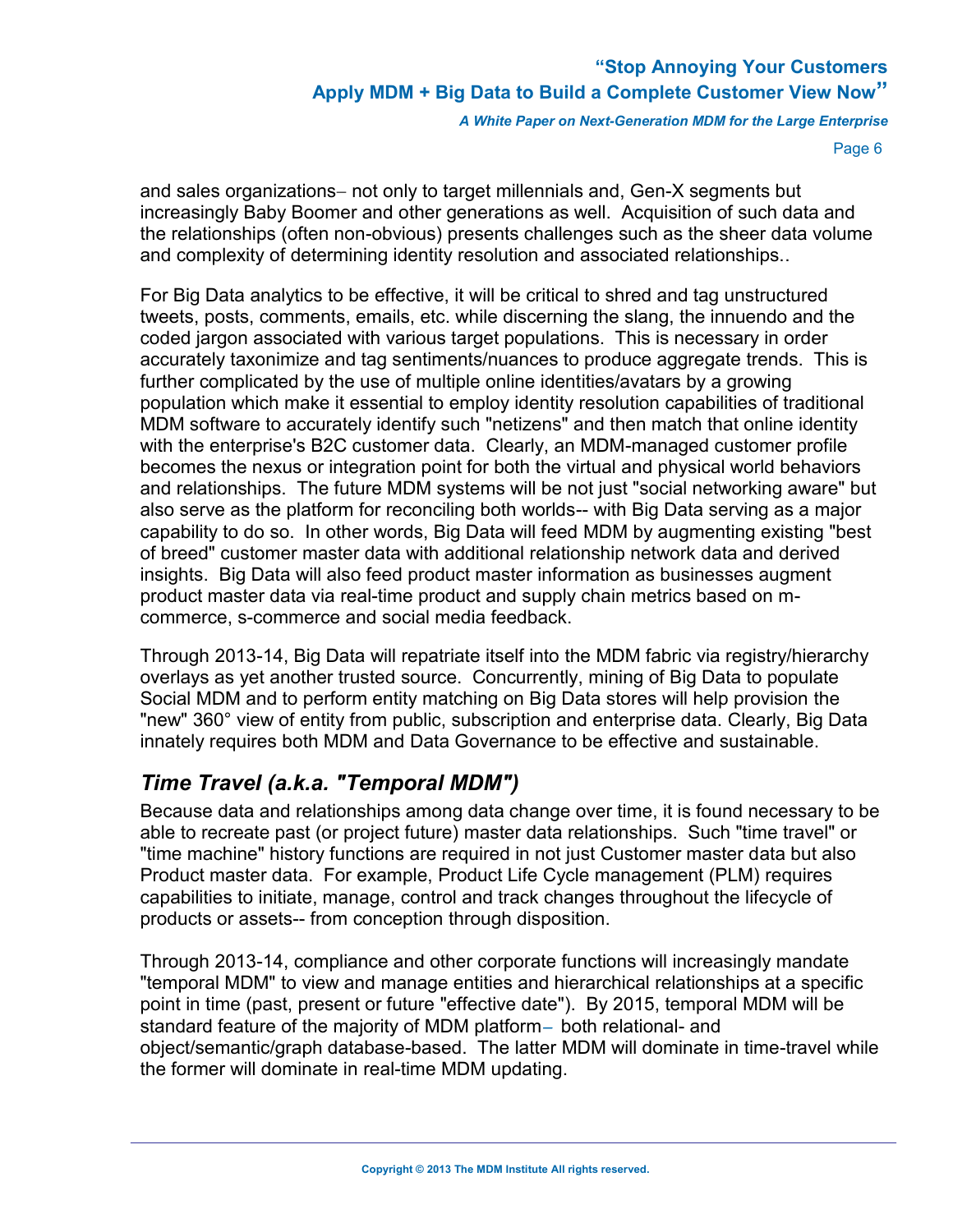*A White Paper on Next-Generation MDM for the Large Enterprise*

Page 6

and sales organizations- not only to target millennials and, Gen-X segments but increasingly Baby Boomer and other generations as well. Acquisition of such data and the relationships (often non-obvious) presents challenges such as the sheer data volume and complexity of determining identity resolution and associated relationships..

For Big Data analytics to be effective, it will be critical to shred and tag unstructured tweets, posts, comments, emails, etc. while discerning the slang, the innuendo and the coded jargon associated with various target populations. This is necessary in order accurately taxonimize and tag sentiments/nuances to produce aggregate trends. This is further complicated by the use of multiple online identities/avatars by a growing population which make it essential to employ identity resolution capabilities of traditional MDM software to accurately identify such "netizens" and then match that online identity with the enterprise's B2C customer data. Clearly, an MDM-managed customer profile becomes the nexus or integration point for both the virtual and physical world behaviors and relationships. The future MDM systems will be not just "social networking aware" but also serve as the platform for reconciling both worlds-- with Big Data serving as a major capability to do so. In other words, Big Data will feed MDM by augmenting existing "best of breed" customer master data with additional relationship network data and derived insights. Big Data will also feed product master information as businesses augment product master data via real-time product and supply chain metrics based on mcommerce, s-commerce and social media feedback.

Through 2013-14, Big Data will repatriate itself into the MDM fabric via registry/hierarchy overlays as yet another trusted source. Concurrently, mining of Big Data to populate Social MDM and to perform entity matching on Big Data stores will help provision the "new" 360° view of entity from public, subscription and enterprise data. Clearly, Big Data innately requires both MDM and Data Governance to be effective and sustainable.

## *Time Travel (a.k.a. "Temporal MDM")*

Because data and relationships among data change over time, it is found necessary to be able to recreate past (or project future) master data relationships. Such "time travel" or "time machine" history functions are required in not just Customer master data but also Product master data. For example, Product Life Cycle management (PLM) requires capabilities to initiate, manage, control and track changes throughout the lifecycle of products or assets-- from conception through disposition.

Through 2013-14, compliance and other corporate functions will increasingly mandate "temporal MDM" to view and manage entities and hierarchical relationships at a specific point in time (past, present or future "effective date"). By 2015, temporal MDM will be standard feature of the majority of MDM platform- both relational- and object/semantic/graph database-based. The latter MDM will dominate in time-travel while the former will dominate in real-time MDM updating.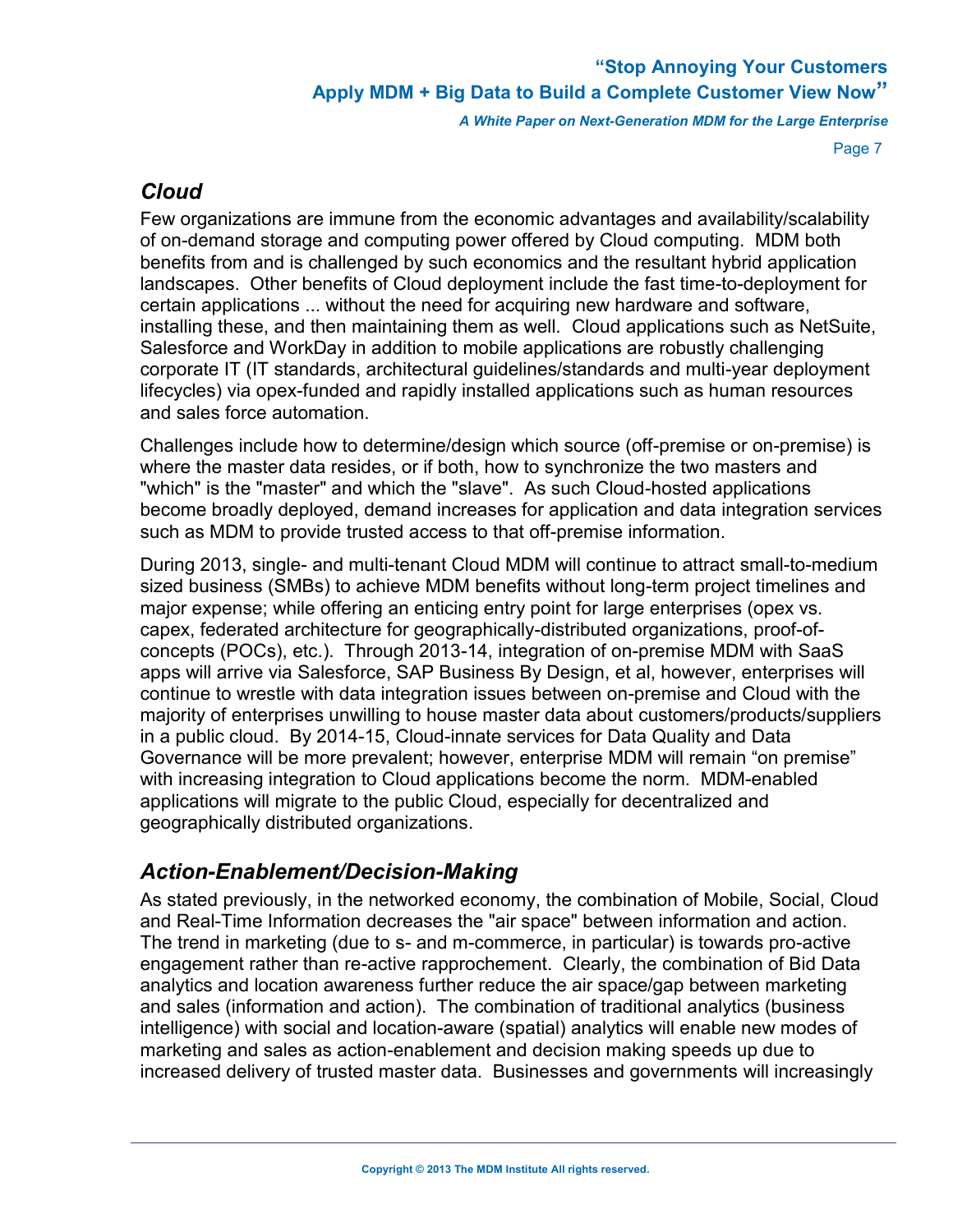*A White Paper on Next-Generation MDM for the Large Enterprise*

Page 7

### *Cloud*

Few organizations are immune from the economic advantages and availability/scalability of on-demand storage and computing power offered by Cloud computing. MDM both benefits from and is challenged by such economics and the resultant hybrid application landscapes. Other benefits of Cloud deployment include the fast time-to-deployment for certain applications ... without the need for acquiring new hardware and software, installing these, and then maintaining them as well. Cloud applications such as NetSuite, Salesforce and WorkDay in addition to mobile applications are robustly challenging corporate IT (IT standards, architectural guidelines/standards and multi-year deployment lifecycles) via opex-funded and rapidly installed applications such as human resources and sales force automation.

Challenges include how to determine/design which source (off-premise or on-premise) is where the master data resides, or if both, how to synchronize the two masters and "which" is the "master" and which the "slave". As such Cloud-hosted applications become broadly deployed, demand increases for application and data integration services such as MDM to provide trusted access to that off-premise information.

During 2013, single- and multi-tenant Cloud MDM will continue to attract small-to-medium sized business (SMBs) to achieve MDM benefits without long-term project timelines and major expense; while offering an enticing entry point for large enterprises (opex vs. capex, federated architecture for geographically-distributed organizations, proof-ofconcepts (POCs), etc.). Through 2013-14, integration of on-premise MDM with SaaS apps will arrive via Salesforce, SAP Business By Design, et al, however, enterprises will continue to wrestle with data integration issues between on-premise and Cloud with the majority of enterprises unwilling to house master data about customers/products/suppliers in a public cloud. By 2014-15, Cloud-innate services for Data Quality and Data Governance will be more prevalent; however, enterprise MDM will remain "on premise" with increasing integration to Cloud applications become the norm. MDM-enabled applications will migrate to the public Cloud, especially for decentralized and geographically distributed organizations.

## *Action-Enablement/Decision-Making*

As stated previously, in the networked economy, the combination of Mobile, Social, Cloud and Real-Time Information decreases the "air space" between information and action. The trend in marketing (due to s- and m-commerce, in particular) is towards pro-active engagement rather than re-active rapprochement. Clearly, the combination of Bid Data analytics and location awareness further reduce the air space/gap between marketing and sales (information and action). The combination of traditional analytics (business intelligence) with social and location-aware (spatial) analytics will enable new modes of marketing and sales as action-enablement and decision making speeds up due to increased delivery of trusted master data. Businesses and governments will increasingly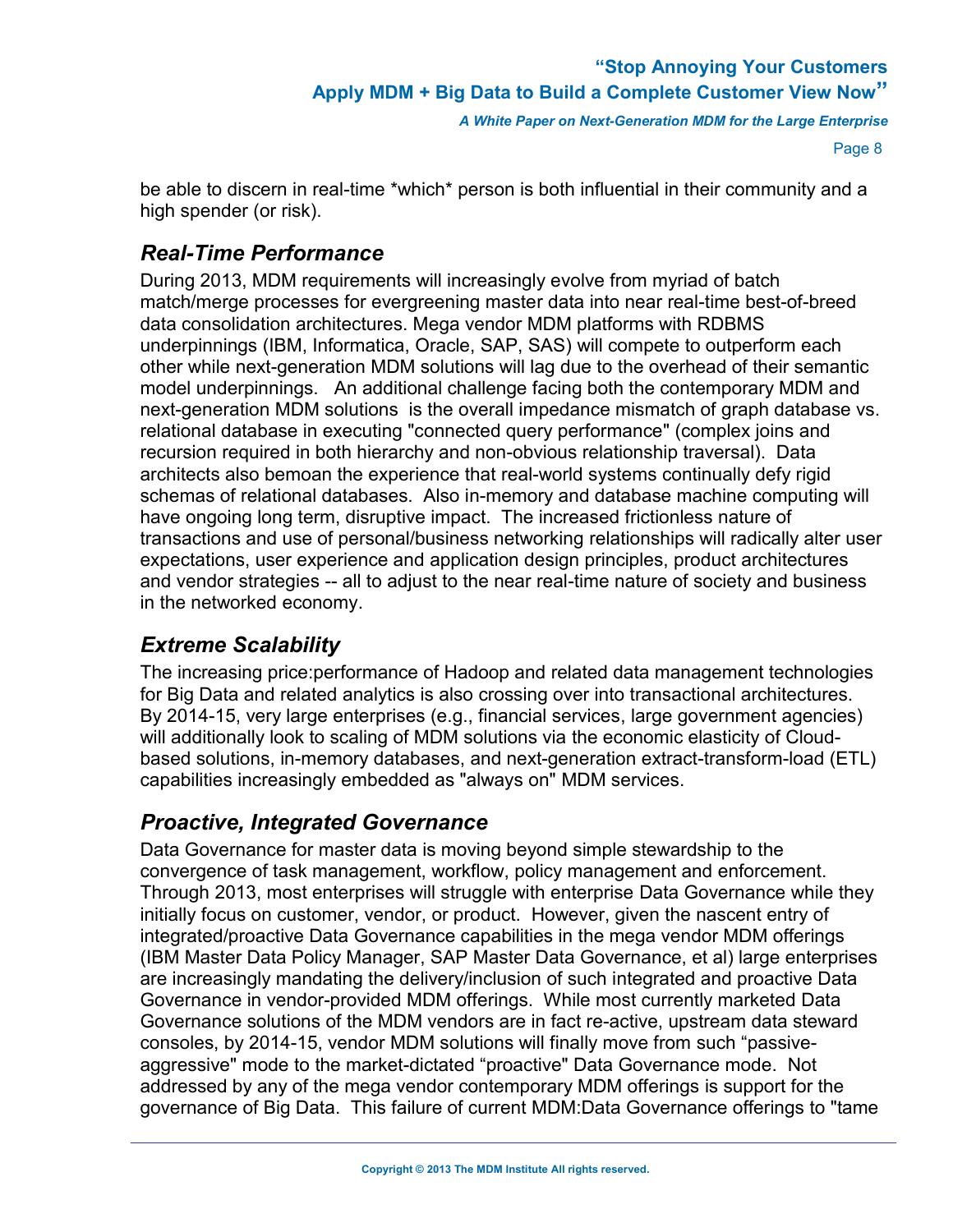Page 8

be able to discern in real-time \*which\* person is both influential in their community and a high spender (or risk).

### *Real-Time Performance*

During 2013, MDM requirements will increasingly evolve from myriad of batch match/merge processes for evergreening master data into near real-time best-of-breed data consolidation architectures. Mega vendor MDM platforms with RDBMS underpinnings (IBM, Informatica, Oracle, SAP, SAS) will compete to outperform each other while next-generation MDM solutions will lag due to the overhead of their semantic model underpinnings. An additional challenge facing both the contemporary MDM and next-generation MDM solutions is the overall impedance mismatch of graph database vs. relational database in executing "connected query performance" (complex joins and recursion required in both hierarchy and non-obvious relationship traversal). Data architects also bemoan the experience that real-world systems continually defy rigid schemas of relational databases. Also in-memory and database machine computing will have ongoing long term, disruptive impact. The increased frictionless nature of transactions and use of personal/business networking relationships will radically alter user expectations, user experience and application design principles, product architectures and vendor strategies -- all to adjust to the near real-time nature of society and business in the networked economy.

## *Extreme Scalability*

The increasing price:performance of Hadoop and related data management technologies for Big Data and related analytics is also crossing over into transactional architectures. By 2014-15, very large enterprises (e.g., financial services, large government agencies) will additionally look to scaling of MDM solutions via the economic elasticity of Cloudbased solutions, in-memory databases, and next-generation extract-transform-load (ETL) capabilities increasingly embedded as "always on" MDM services.

### *Proactive, Integrated Governance*

Data Governance for master data is moving beyond simple stewardship to the convergence of task management, workflow, policy management and enforcement. Through 2013, most enterprises will struggle with enterprise Data Governance while they initially focus on customer, vendor, or product. However, given the nascent entry of integrated/proactive Data Governance capabilities in the mega vendor MDM offerings (IBM Master Data Policy Manager, SAP Master Data Governance, et al) large enterprises are increasingly mandating the delivery/inclusion of such integrated and proactive Data Governance in vendor-provided MDM offerings. While most currently marketed Data Governance solutions of the MDM vendors are in fact re-active, upstream data steward consoles, by 2014-15, vendor MDM solutions will finally move from such "passiveaggressive" mode to the market-dictated "proactive" Data Governance mode. Not addressed by any of the mega vendor contemporary MDM offerings is support for the governance of Big Data. This failure of current MDM:Data Governance offerings to "tame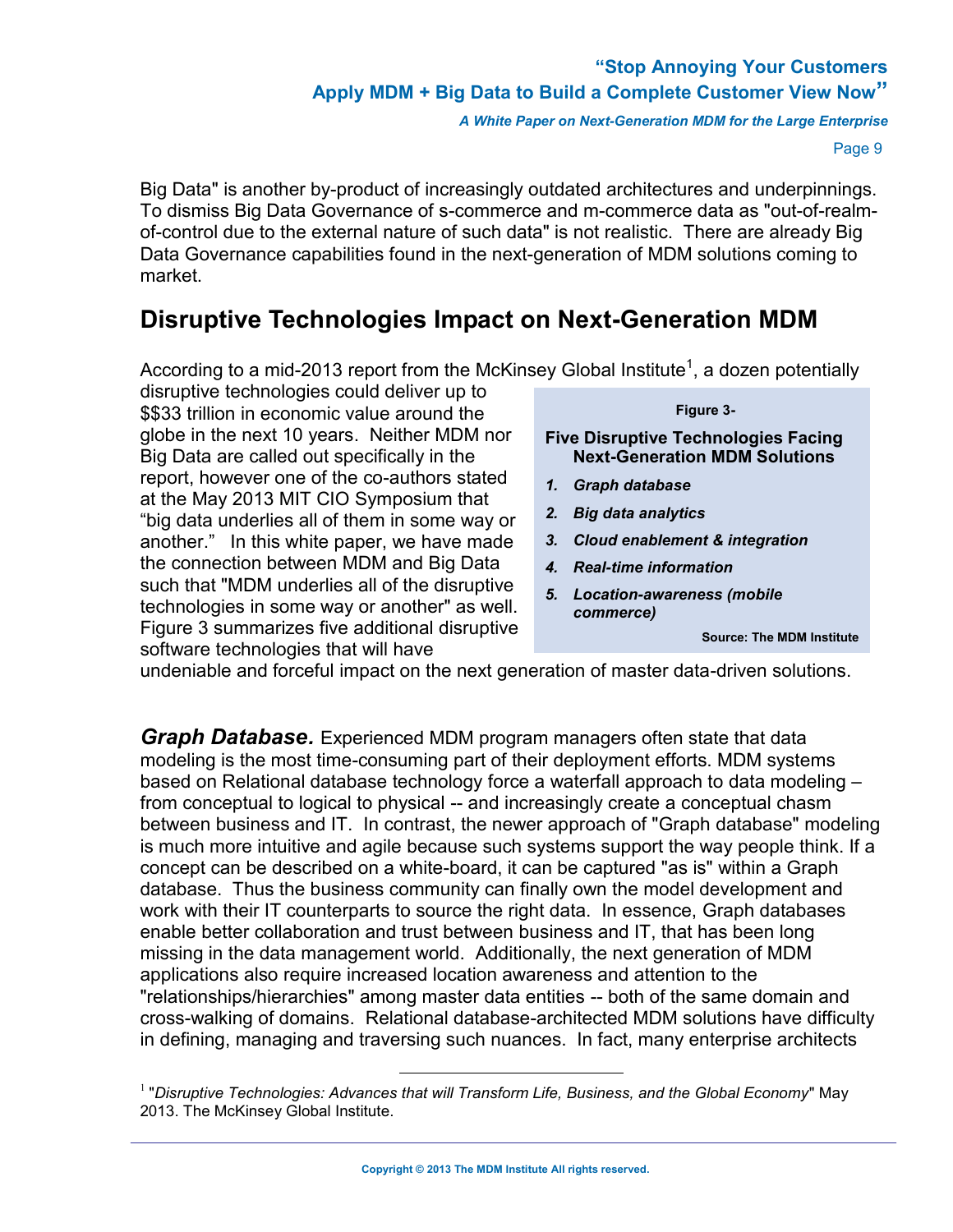*A White Paper on Next-Generation MDM for the Large Enterprise*

Page 9

Big Data" is another by-product of increasingly outdated architectures and underpinnings. To dismiss Big Data Governance of s-commerce and m-commerce data as "out-of-realmof-control due to the external nature of such data" is not realistic. There are already Big Data Governance capabilities found in the next-generation of MDM solutions coming to market.

# **Disruptive Technologies Impact on Next-Generation MDM**

According to a mid-2013 report from the McKinsey Global Institute<sup>1</sup>, a dozen potentially

disruptive technologies could deliver up to \$\$33 trillion in economic value around the globe in the next 10 years. Neither MDM nor Big Data are called out specifically in the report, however one of the co-authors stated at the May 2013 MIT CIO Symposium that "big data underlies all of them in some way or another." In this white paper, we have made the connection between MDM and Big Data such that "MDM underlies all of the disruptive technologies in some way or another" as well. Figure 3 summarizes five additional disruptive software technologies that will have

#### **Figure 3-**

**Five Disruptive Technologies Facing Next-Generation MDM Solutions** 

- *1. Graph database*
- *2. Big data analytics*
- *3. Cloud enablement & integration*
- *4. Real-time information*
- *5. Location-awareness (mobile commerce)*

**Source: The MDM Institute**

undeniable and forceful impact on the next generation of master data-driven solutions.

*Graph Database.* Experienced MDM program managers often state that data modeling is the most time-consuming part of their deployment efforts. MDM systems based on Relational database technology force a waterfall approach to data modeling – from conceptual to logical to physical -- and increasingly create a conceptual chasm between business and IT. In contrast, the newer approach of "Graph database" modeling is much more intuitive and agile because such systems support the way people think. If a concept can be described on a white-board, it can be captured "as is" within a Graph database. Thus the business community can finally own the model development and work with their IT counterparts to source the right data. In essence, Graph databases enable better collaboration and trust between business and IT, that has been long missing in the data management world. Additionally, the next generation of MDM applications also require increased location awareness and attention to the applications also require increased location awareness and attention to the<br>"relationships/hierarchies" among master data entities -- both of the same domain and cross-walking of domains. Relational database-architected MDM solutions have difficulty in defining, managing and traversing such nuances. In fact, many enterprise architects

<sup>1</sup> "*Disruptive Technologies: Advances that will Transform Life, Business, and the Global Economy*" May 2013. The McKinsey Global Institute.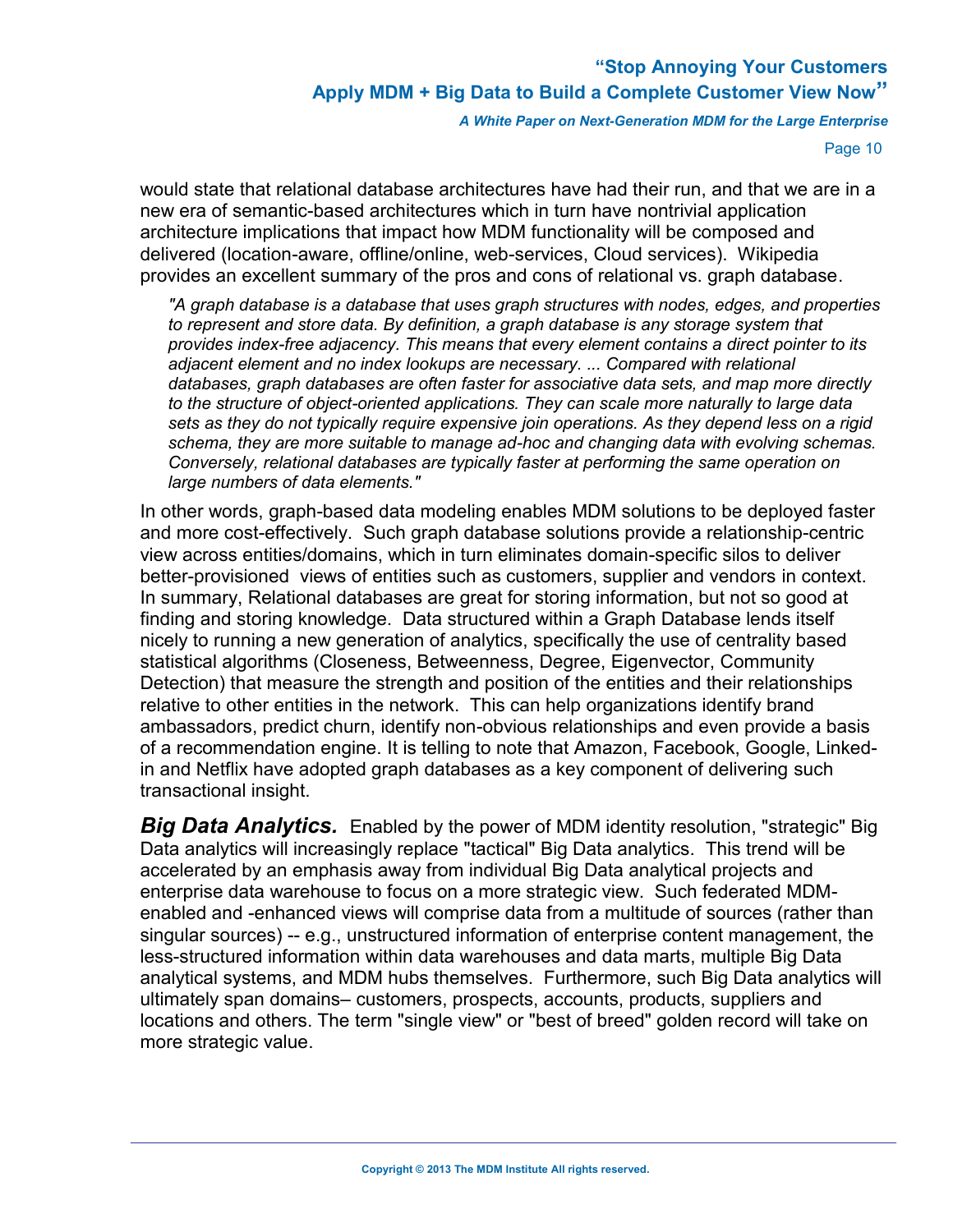*A White Paper on Next-Generation MDM for the Large Enterprise*

Page 10

would state that relational database architectures have had their run, and that we are in a new era of semantic-based architectures which in turn have nontrivial application architecture implications that impact how MDM functionality will be composed and delivered (location-aware, offline/online, web-services, Cloud services). Wikipedia provides an excellent summary of the pros and cons of relational vs. graph database.

*"A graph database is a database that uses graph structures with nodes, edges, and properties to represent and store data. By definition, a graph database is any storage system that provides index-free adjacency. This means that every element contains a direct pointer to its adjacent element and no index lookups are necessary. ... Compared with relational databases, graph databases are often faster for associative data sets, and map more directly to the structure of object-oriented applications. They can scale more naturally to large data sets as they do not typically require expensive join operations. As they depend less on a rigid schema, they are more suitable to manage ad-hoc and changing data with evolving schemas. Conversely, relational databases are typically faster at performing the same operation on large numbers of data elements."*

In other words, graph-based data modeling enables MDM solutions to be deployed faster and more cost-effectively. Such graph database solutions provide a relationship-centric view across entities/domains, which in turn eliminates domain-specific silos to deliver better-provisioned views of entities such as customers, supplier and vendors in context. In summary, Relational databases are great for storing information, but not so good at finding and storing knowledge. Data structured within a Graph Database lends itself nicely to running a new generation of analytics, specifically the use of centrality based statistical algorithms (Closeness, Betweenness, Degree, Eigenvector, Community Detection) that measure the strength and position of the entities and their relationships relative to other entities in the network. This can help organizations identify brand ambassadors, predict churn, identify non-obvious relationships and even provide a basis of a recommendation engine. It is telling to note that Amazon, Facebook, Google, Linkedin and Netflix have adopted graph databases as a key component of delivering such transactional insight.

*Big Data Analytics.* Enabled by the power of MDM identity resolution, "strategic" Big Data analytics will increasingly replace "tactical" Big Data analytics. This trend will be accelerated by an emphasis away from individual Big Data analytical projects and enterprise data warehouse to focus on a more strategic view. Such federated MDMenabled and -enhanced views will comprise data from a multitude of sources (rather than singular sources) -- e.g., unstructured information of enterprise content management, the less-structured information within data warehouses and data marts, multiple Big Data analytical systems, and MDM hubs themselves. Furthermore, such Big Data analytics will ultimately span domains– customers, prospects, accounts, products, suppliers and locations and others. The term "single view" or "best of breed" golden record will take on more strategic value.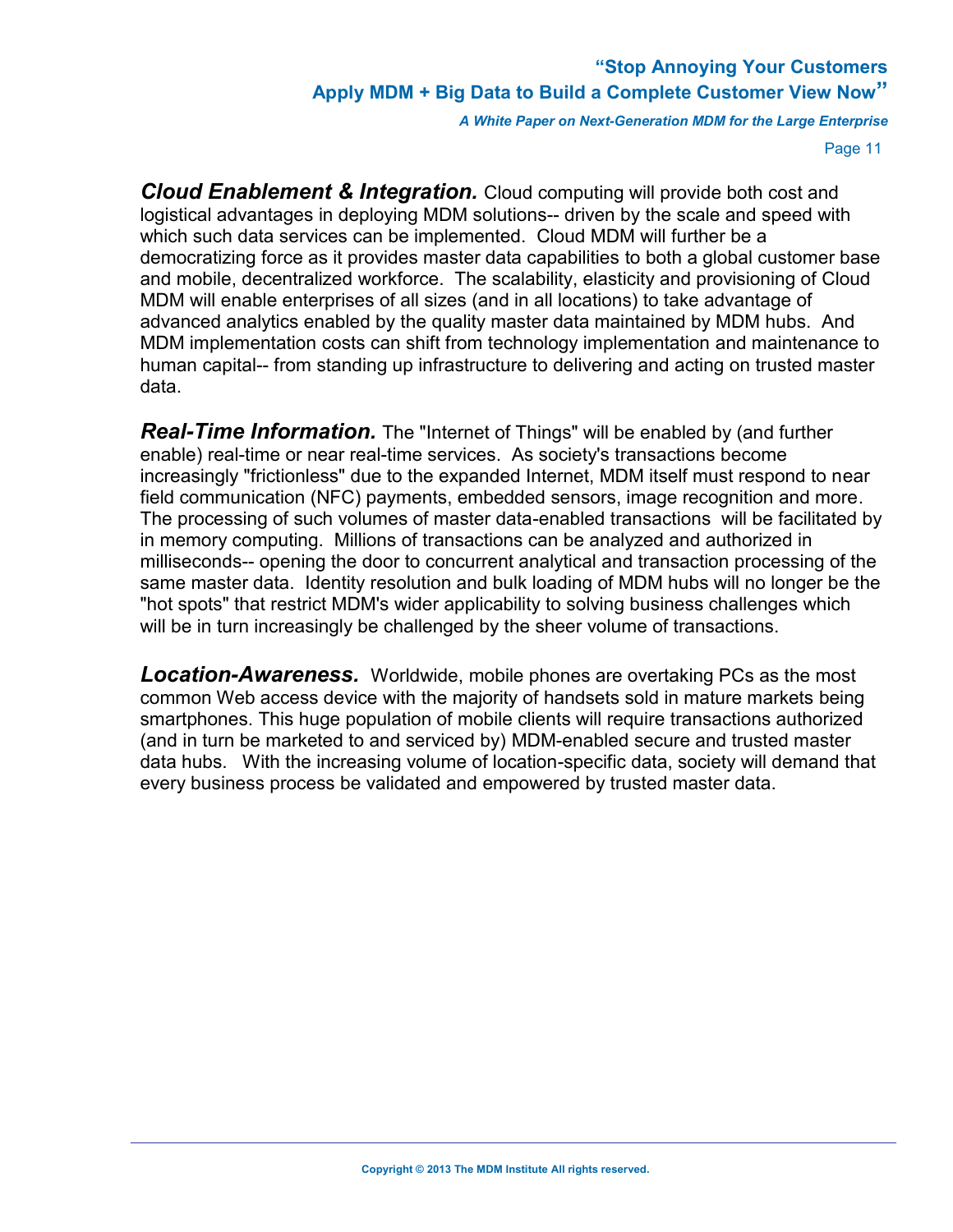*A White Paper on Next-Generation MDM for the Large Enterprise*

Page 11

*Cloud Enablement & Integration.* Cloud computing will provide both cost and logistical advantages in deploying MDM solutions-- driven by the scale and speed with which such data services can be implemented. Cloud MDM will further be a democratizing force as it provides master data capabilities to both a global customer base and mobile, decentralized workforce. The scalability, elasticity and provisioning of Cloud MDM will enable enterprises of all sizes (and in all locations) to take advantage of advanced analytics enabled by the quality master data maintained by MDM hubs. And MDM implementation costs can shift from technology implementation and maintenance to human capital-- from standing up infrastructure to delivering and acting on trusted master data.

**Real-Time Information.** The "Internet of Things" will be enabled by (and further enable) real-time or near real-time services. As society's transactions become increasingly "frictionless" due to the expanded Internet, MDM itself must respond to near field communication (NFC) payments, embedded sensors, image recognition and more. The processing of such volumes of master data-enabled transactions will be facilitated by in memory computing. Millions of transactions can be analyzed and authorized in milliseconds-- opening the door to concurrent analytical and transaction processing of the same master data. Identity resolution and bulk loading of MDM hubs will no longer be the "hot spots" that restrict MDM's wider applicability to solving business challenges which will be in turn increasingly be challenged by the sheer volume of transactions.

<span id="page-12-0"></span>*Location-Awareness.* Worldwide, mobile phones are overtaking PCs as the most common Web access device with the majority of handsets sold in mature markets being smartphones. This huge population of mobile clients will require transactions authorized (and in turn be marketed to and serviced by) MDM-enabled secure and trusted master data hubs. With the increasing volume of location-specific data, society will demand that every business process be validated and empowered by trusted master data.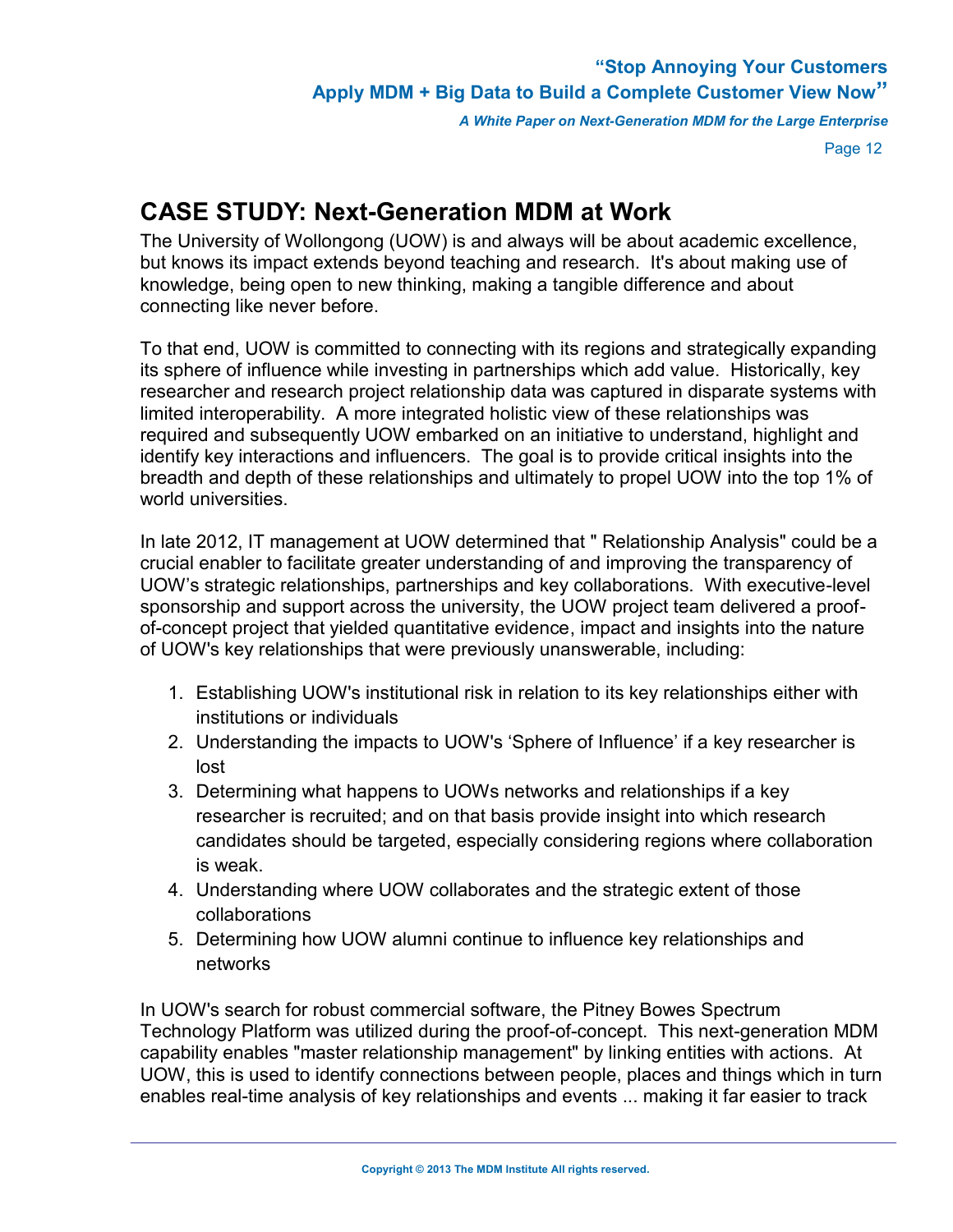*A White Paper on Next-Generation MDM for the Large Enterprise*

Page 12

# **CASE STUDY: Next-Generation MDM at Work**

The University of Wollongong (UOW) is and always will be about academic excellence, but knows its impact extends beyond teaching and research. It's about making use of knowledge, being open to new thinking, making a tangible difference and about connecting like never before.

To that end, UOW is committed to connecting with its regions and strategically expanding its sphere of influence while investing in partnerships which add value. Historically, key researcher and research project relationship data was captured in disparate systems with limited interoperability. A more integrated holistic view of these relationships was required and subsequently UOW embarked on an initiative to understand, highlight and identify key interactions and influencers. The goal is to provide critical insights into the breadth and depth of these relationships and ultimately to propel UOW into the top 1% of world universities

In late 2012, IT management at UOW determined that " Relationship Analysis" could be a crucial enabler to facilitate greater understanding of and improving the transparency of UOW's strategic relationships, partnerships and key collaborations. With executive-level sponsorship and support across the university, the UOW project team delivered a proofof-concept project that yielded quantitative evidence, impact and insights into the nature of UOW's key relationships that were previously unanswerable, including:

- 1. Establishing UOW's institutional risk in relation to its key relationships either with institutions or individuals
- 2. Understanding the impacts to UOW's 'Sphere of Influence' if a key researcher is lost
- 3. Determining what happens to UOWs networks and relationships if a key researcher is recruited; and on that basis provide insight into which research candidates should be targeted, especially considering regions where collaboration is weak.
- 4. Understanding where UOW collaborates and the strategic extent of those collaborations
- 5. Determining how UOW alumni continue to influence key relationships and networks

In UOW's search for robust commercial software, the Pitney Bowes Spectrum Technology Platform was utilized during the proof-of-concept. This next-generation MDM capability enables "master relationship management" by linking entities with actions. At UOW, this is used to identify connections between people, places and things which in turn enables real-time analysis of key relationships and events ... making it far easier to track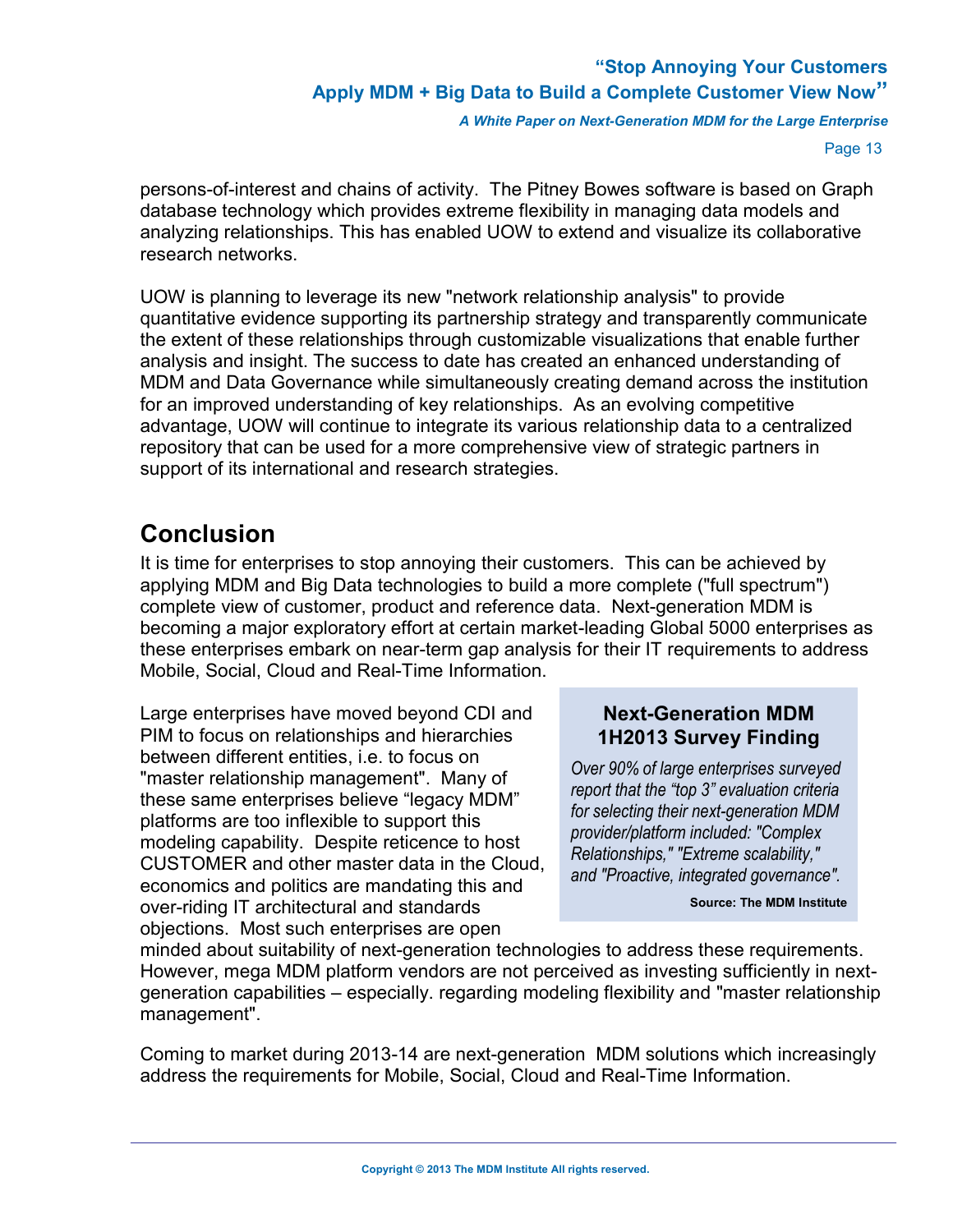*A White Paper on Next-Generation MDM for the Large Enterprise*

Page 13

persons-of-interest and chains of activity. The Pitney Bowes software is based on Graph database technology which provides extreme flexibility in managing data models and analyzing relationships. This has enabled UOW to extend and visualize its collaborative research networks.

UOW is planning to leverage its new "network relationship analysis" to provide quantitative evidence supporting its partnership strategy and transparently communicate the extent of these relationships through customizable visualizations that enable further analysis and insight. The success to date has created an enhanced understanding of MDM and Data Governance while simultaneously creating demand across the institution for an improved understanding of key relationships. As an evolving competitive advantage, UOW will continue to integrate its various relationship data to a centralized repository that can be used for a more comprehensive view of strategic partners in support of its international and research strategies.

# <span id="page-14-0"></span>**Conclusion**

It is time for enterprises to stop annoying their customers. This can be achieved by applying MDM and Big Data technologies to build a more complete ("full spectrum") complete view of customer, product and reference data. Next-generation MDM is becoming a major exploratory effort at certain market-leading Global 5000 enterprises as these enterprises embark on near-term gap analysis for their IT requirements to address Mobile, Social, Cloud and Real-Time Information.

Large enterprises have moved beyond CDI and PIM to focus on relationships and hierarchies between different entities, i.e. to focus on "master relationship management". Many of these same enterprises believe "legacy MDM" platforms are too inflexible to support this modeling capability. Despite reticence to host CUSTOMER and other master data in the Cloud, economics and politics are mandating this and over-riding IT architectural and standards objections. Most such enterprises are open

#### **Next-Generation MDM 1H2013 Survey Finding**

*Over 90% of large enterprises surveyed report that the "top 3" evaluation criteria for selecting their next-generation MDM provider/platform included: "Complex Relationships," "Extreme scalability," and "Proactive, integrated governance".*

**Source: The MDM Institute**

minded about suitability of next-generation technologies to address these requirements. However, mega MDM platform vendors are not perceived as investing sufficiently in nextgeneration capabilities – especially. regarding modeling flexibility and "master relationship management".

Coming to market during 2013-14 are next-generation MDM solutions which increasingly address the requirements for Mobile, Social, Cloud and Real-Time Information.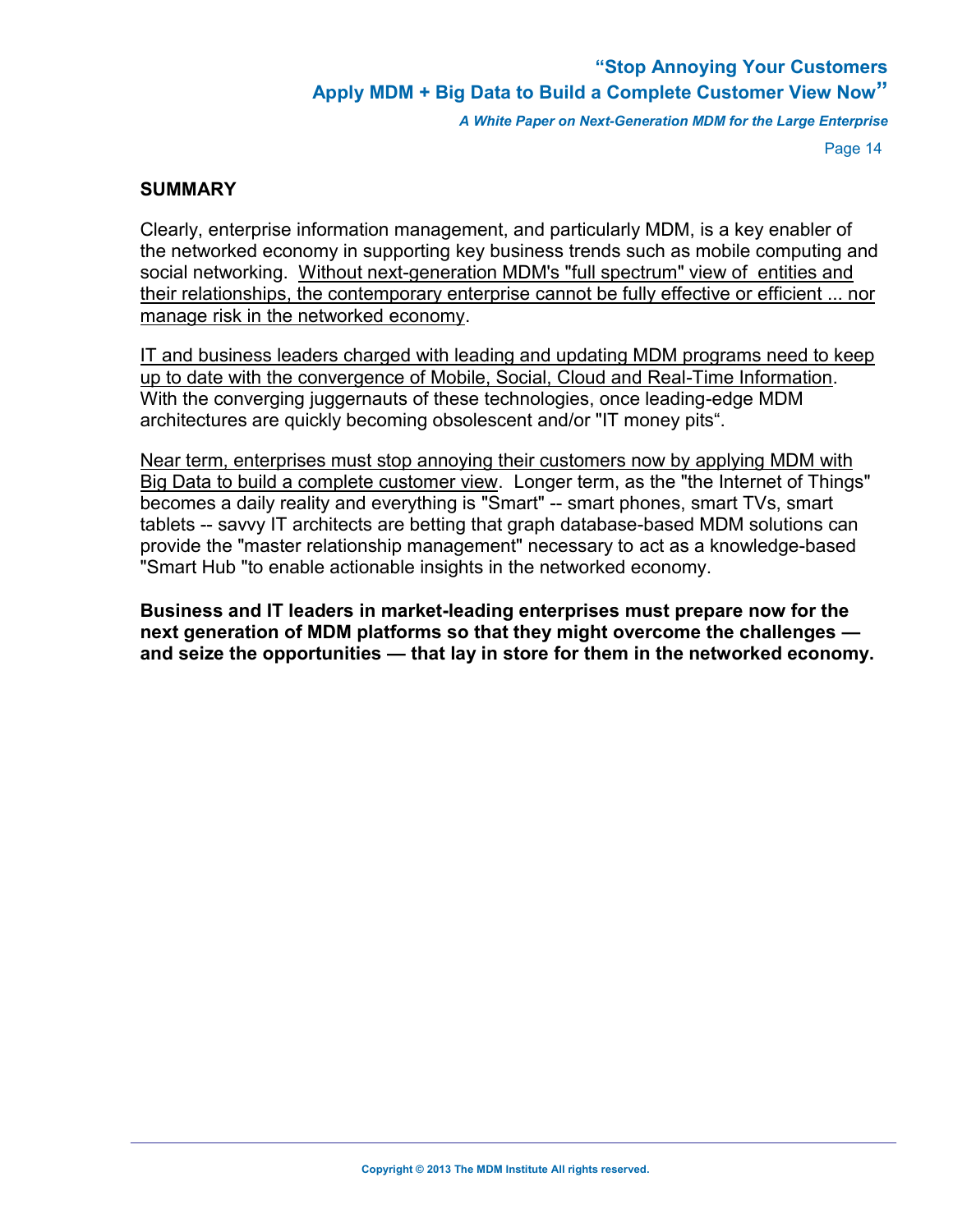*A White Paper on Next-Generation MDM for the Large Enterprise*

Page 14

#### **SUMMARY**

Clearly, enterprise information management, and particularly MDM, is a key enabler of the networked economy in supporting key business trends such as mobile computing and social networking. Without next-generation MDM's "full spectrum" view of entities and their relationships, the contemporary enterprise cannot be fully effective or efficient ... nor manage risk in the networked economy.

IT and business leaders charged with leading and updating MDM programs need to keep up to date with the convergence of Mobile, Social, Cloud and Real-Time Information. With the converging juggernauts of these technologies, once leading-edge MDM architectures are quickly becoming obsolescent and/or "IT money pits".

Near term, enterprises must stop annoying their customers now by applying MDM with Big Data to build a complete customer view. Longer term, as the "the Internet of Things" becomes a daily reality and everything is "Smart" -- smart phones, smart TVs, smart tablets -- savvy IT architects are betting that graph database-based MDM solutions can provide the "master relationship management" necessary to act as a knowledge-based "Smart Hub "to enable actionable insights in the networked economy.

**Business and IT leaders in market-leading enterprises must prepare now for the next generation of MDM platforms so that they might overcome the challenges and seize the opportunities — that lay in store for them in the networked economy.**